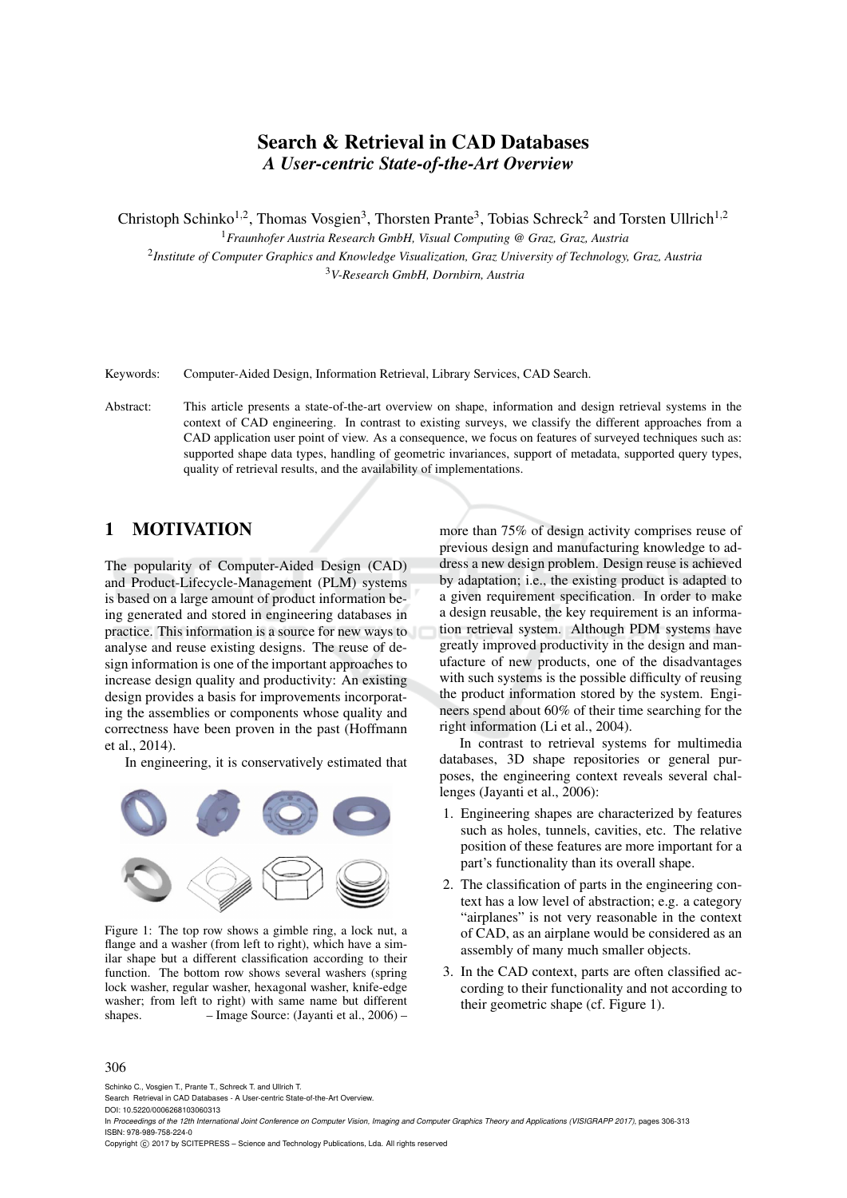# Search & Retrieval in CAD Databases *A User-centric State-of-the-Art Overview*

Christoph Schinko<sup>1,2</sup>, Thomas Vosgien<sup>3</sup>, Thorsten Prante<sup>3</sup>, Tobias Schreck<sup>2</sup> and Torsten Ullrich<sup>1,2</sup>

<sup>1</sup>*Fraunhofer Austria Research GmbH, Visual Computing @ Graz, Graz, Austria* 2 *Institute of Computer Graphics and Knowledge Visualization, Graz University of Technology, Graz, Austria*

<sup>3</sup>*V-Research GmbH, Dornbirn, Austria*

Keywords: Computer-Aided Design, Information Retrieval, Library Services, CAD Search.

Abstract: This article presents a state-of-the-art overview on shape, information and design retrieval systems in the context of CAD engineering. In contrast to existing surveys, we classify the different approaches from a CAD application user point of view. As a consequence, we focus on features of surveyed techniques such as: supported shape data types, handling of geometric invariances, support of metadata, supported query types, quality of retrieval results, and the availability of implementations.

## 1 MOTIVATION

The popularity of Computer-Aided Design (CAD) and Product-Lifecycle-Management (PLM) systems is based on a large amount of product information being generated and stored in engineering databases in practice. This information is a source for new ways to analyse and reuse existing designs. The reuse of design information is one of the important approaches to increase design quality and productivity: An existing design provides a basis for improvements incorporating the assemblies or components whose quality and correctness have been proven in the past (Hoffmann et al., 2014).

In engineering, it is conservatively estimated that



Figure 1: The top row shows a gimble ring, a lock nut, a flange and a washer (from left to right), which have a similar shape but a different classification according to their function. The bottom row shows several washers (spring lock washer, regular washer, hexagonal washer, knife-edge washer; from left to right) with same name but different shapes. – Image Source: (Jayanti et al., 2006) –

more than 75% of design activity comprises reuse of previous design and manufacturing knowledge to address a new design problem. Design reuse is achieved by adaptation; i.e., the existing product is adapted to a given requirement specification. In order to make a design reusable, the key requirement is an information retrieval system. Although PDM systems have greatly improved productivity in the design and manufacture of new products, one of the disadvantages with such systems is the possible difficulty of reusing the product information stored by the system. Engineers spend about 60% of their time searching for the right information (Li et al., 2004).

In contrast to retrieval systems for multimedia databases, 3D shape repositories or general purposes, the engineering context reveals several challenges (Jayanti et al., 2006):

- 1. Engineering shapes are characterized by features such as holes, tunnels, cavities, etc. The relative position of these features are more important for a part's functionality than its overall shape.
- 2. The classification of parts in the engineering context has a low level of abstraction; e.g. a category "airplanes" is not very reasonable in the context of CAD, as an airplane would be considered as an assembly of many much smaller objects.
- 3. In the CAD context, parts are often classified according to their functionality and not according to their geometric shape (cf. Figure 1).

#### 306

Schinko C., Vosgien T., Prante T., Schreck T. and Ullrich T.

In *Proceedings of the 12th International Joint Conference on Computer Vision, Imaging and Computer Graphics Theory and Applications (VISIGRAPP 2017)*, pages 306-313 ISBN: 978-989-758-224-0

Copyright © 2017 by SCITEPRESS - Science and Technology Publications, Lda. All rights reserved

Search Retrieval in CAD Databases - A User-centric State-of-the-Art Overview.

DOI: 10.5220/0006268103060313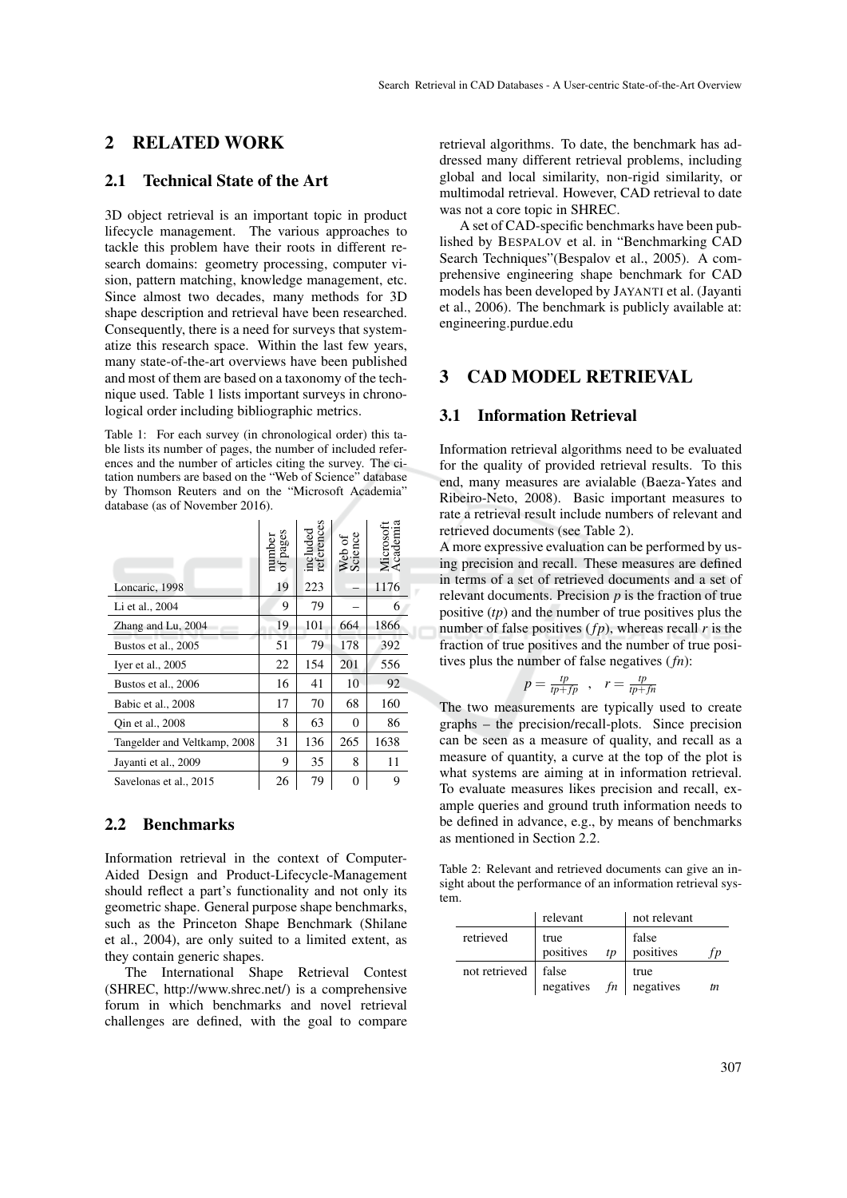## 2 RELATED WORK

## 2.1 Technical State of the Art

3D object retrieval is an important topic in product lifecycle management. The various approaches to tackle this problem have their roots in different research domains: geometry processing, computer vision, pattern matching, knowledge management, etc. Since almost two decades, many methods for 3D shape description and retrieval have been researched. Consequently, there is a need for surveys that systematize this research space. Within the last few years, many state-of-the-art overviews have been published and most of them are based on a taxonomy of the technique used. Table 1 lists important surveys in chronological order including bibliographic metrics.

Table 1: For each survey (in chronological order) this table lists its number of pages, the number of included references and the number of articles citing the survey. The citation numbers are based on the "Web of Science" database by Thomson Reuters and on the "Microsoft Academia" database (as of November 2016).

|                              | number<br>of pages | included<br>references | Web of<br>Science | Microsoft<br>Academia<br>Ĕ |
|------------------------------|--------------------|------------------------|-------------------|----------------------------|
| Loncaric, 1998               | 19                 | 223                    |                   | 1176                       |
| Li et al., 2004              | 9                  | 79                     |                   | 6                          |
| Zhang and Lu, 2004           | 19                 | 101                    | 664               | 1866                       |
| Bustos et al., 2005          | 51                 | 79                     | 178               | 392                        |
| Iyer et al., 2005            | 22                 | 154                    | 201               | 556                        |
| Bustos et al., 2006          | 16                 | 41                     | 10                | 92                         |
| Babic et al., 2008           | 17                 | 70                     | 68                | 160                        |
| Oin et al., 2008             | 8                  | 63                     | 0                 | 86                         |
| Tangelder and Veltkamp, 2008 | 31                 | 136                    | 265               | 1638                       |
| Jayanti et al., 2009         | 9                  | 35                     | 8                 | 11                         |
| Savelonas et al., 2015       | 26                 | 79                     | 0                 | 9                          |

## 2.2 Benchmarks

Information retrieval in the context of Computer-Aided Design and Product-Lifecycle-Management should reflect a part's functionality and not only its geometric shape. General purpose shape benchmarks, such as the Princeton Shape Benchmark (Shilane et al., 2004), are only suited to a limited extent, as they contain generic shapes.

The International Shape Retrieval Contest (SHREC, http://www.shrec.net/) is a comprehensive forum in which benchmarks and novel retrieval challenges are defined, with the goal to compare retrieval algorithms. To date, the benchmark has addressed many different retrieval problems, including global and local similarity, non-rigid similarity, or multimodal retrieval. However, CAD retrieval to date was not a core topic in SHREC.

A set of CAD-specific benchmarks have been published by BESPALOV et al. in "Benchmarking CAD Search Techniques"(Bespalov et al., 2005). A comprehensive engineering shape benchmark for CAD models has been developed by JAYANTI et al. (Jayanti et al., 2006). The benchmark is publicly available at: engineering.purdue.edu

## 3 CAD MODEL RETRIEVAL

## 3.1 Information Retrieval

JΠ

Information retrieval algorithms need to be evaluated for the quality of provided retrieval results. To this end, many measures are avialable (Baeza-Yates and Ribeiro-Neto, 2008). Basic important measures to rate a retrieval result include numbers of relevant and retrieved documents (see Table 2).

A more expressive evaluation can be performed by using precision and recall. These measures are defined in terms of a set of retrieved documents and a set of relevant documents. Precision *p* is the fraction of true positive (*tp*) and the number of true positives plus the number of false positives  $(f_p)$ , whereas recall  $r$  is the fraction of true positives and the number of true positives plus the number of false negatives (*fn*):

$$
p = \frac{tp}{tp + fp} \ , \quad r = \frac{tp}{tp + fn}
$$

The two measurements are typically used to create graphs – the precision/recall-plots. Since precision can be seen as a measure of quality, and recall as a measure of quantity, a curve at the top of the plot is what systems are aiming at in information retrieval. To evaluate measures likes precision and recall, example queries and ground truth information needs to be defined in advance, e.g., by means of benchmarks as mentioned in Section 2.2.

Table 2: Relevant and retrieved documents can give an insight about the performance of an information retrieval system.

|               | relevant                |    | not relevant       |     |  |  |  |
|---------------|-------------------------|----|--------------------|-----|--|--|--|
| retrieved     | true<br>positives       | tp | false<br>positives |     |  |  |  |
| not retrieved | false<br>negatives $fn$ |    | true<br>negatives  | tn. |  |  |  |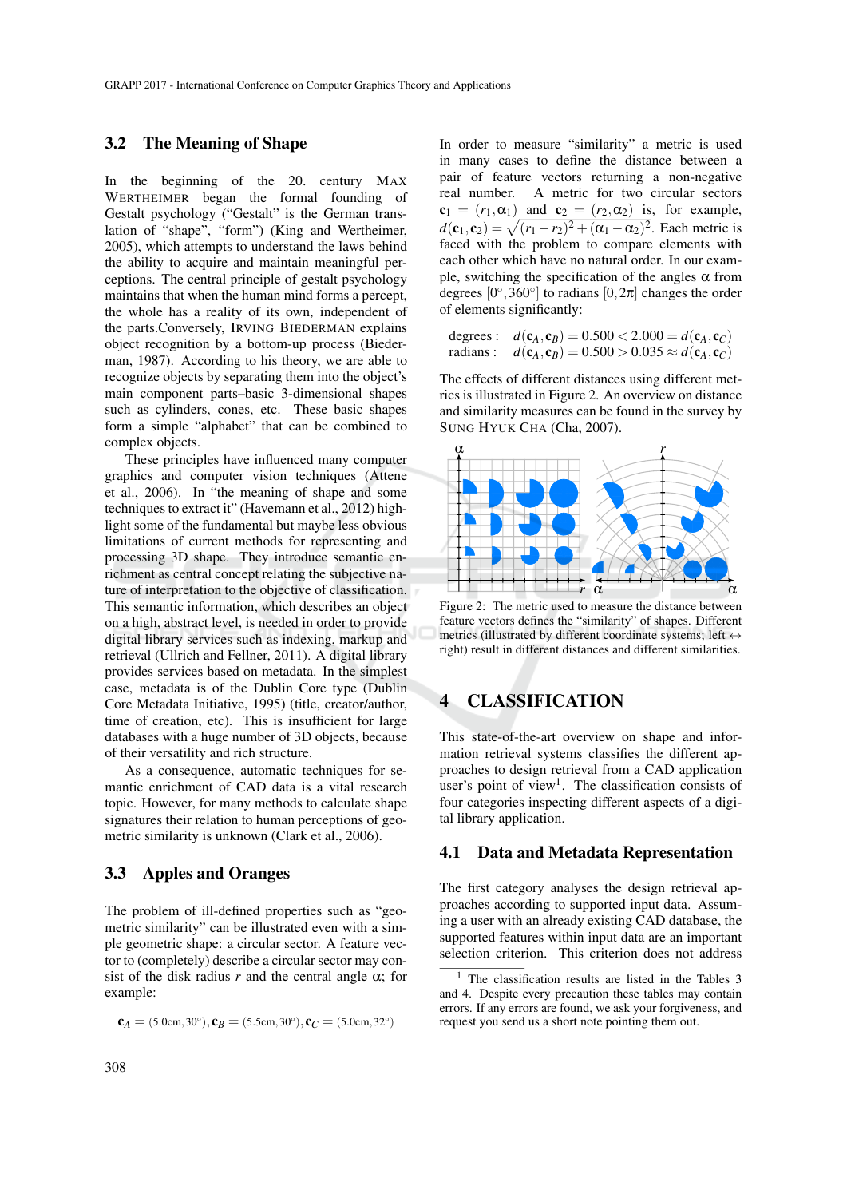### 3.2 The Meaning of Shape

In the beginning of the 20. century MAX WERTHEIMER began the formal founding of Gestalt psychology ("Gestalt" is the German translation of "shape", "form") (King and Wertheimer, 2005), which attempts to understand the laws behind the ability to acquire and maintain meaningful perceptions. The central principle of gestalt psychology maintains that when the human mind forms a percept, the whole has a reality of its own, independent of the parts.Conversely, IRVING BIEDERMAN explains object recognition by a bottom-up process (Biederman, 1987). According to his theory, we are able to recognize objects by separating them into the object's main component parts–basic 3-dimensional shapes such as cylinders, cones, etc. These basic shapes form a simple "alphabet" that can be combined to complex objects.

These principles have influenced many computer graphics and computer vision techniques (Attene et al., 2006). In "the meaning of shape and some techniques to extract it" (Havemann et al., 2012) highlight some of the fundamental but maybe less obvious limitations of current methods for representing and processing 3D shape. They introduce semantic enrichment as central concept relating the subjective nature of interpretation to the objective of classification. This semantic information, which describes an object on a high, abstract level, is needed in order to provide digital library services such as indexing, markup and retrieval (Ullrich and Fellner, 2011). A digital library provides services based on metadata. In the simplest case, metadata is of the Dublin Core type (Dublin Core Metadata Initiative, 1995) (title, creator/author, time of creation, etc). This is insufficient for large databases with a huge number of 3D objects, because of their versatility and rich structure.

As a consequence, automatic techniques for semantic enrichment of CAD data is a vital research topic. However, for many methods to calculate shape signatures their relation to human perceptions of geometric similarity is unknown (Clark et al., 2006).

### 3.3 Apples and Oranges

The problem of ill-defined properties such as "geometric similarity" can be illustrated even with a simple geometric shape: a circular sector. A feature vector to (completely) describe a circular sector may consist of the disk radius  $r$  and the central angle  $\alpha$ ; for example:

```
c_A = (5.0cm, 30°), c_B = (5.5cm, 30°), c_C = (5.0cm, 32°)
```
In order to measure "similarity" a metric is used in many cases to define the distance between a pair of feature vectors returning a non-negative real number. A metric for two circular sectors  $c_1 = (r_1, \alpha_1)$  and  $c_2 = (r_2, \alpha_2)$  is, for example,  $d(c_1, c_2) = \sqrt{(r_1 - r_2)^2 + (\alpha_1 - \alpha_2)^2}$ . Each metric is faced with the problem to compare elements with each other which have no natural order. In our example, switching the specification of the angles  $\alpha$  from degrees  $[0^{\circ}, 360^{\circ}]$  to radians  $[0, 2\pi]$  changes the order of elements significantly:

degrees :  $d(c_A, c_B) = 0.500 < 2.000 = d(c_A, c_C)$ radians : *d*(**c**<sub>*A*</sub>, **c**<sub>*B*</sub>) = 0.500 > 0.035  $\approx$  *d*(**c**<sub>*A*</sub>, **c**<sub>*C*</sub>)

The effects of different distances using different metrics is illustrated in Figure 2. An overview on distance and similarity measures can be found in the survey by SUNG HYUK CHA (Cha, 2007).



Figure 2: The metric used to measure the distance between feature vectors defines the "similarity" of shapes. Different metrics (illustrated by different coordinate systems; left  $\leftrightarrow$ right) result in different distances and different similarities.

## 4 CLASSIFICATION

This state-of-the-art overview on shape and information retrieval systems classifies the different approaches to design retrieval from a CAD application user's point of view<sup>1</sup>. The classification consists of four categories inspecting different aspects of a digital library application.

#### 4.1 Data and Metadata Representation

The first category analyses the design retrieval approaches according to supported input data. Assuming a user with an already existing CAD database, the supported features within input data are an important selection criterion. This criterion does not address

<sup>&</sup>lt;sup>1</sup> The classification results are listed in the Tables  $3$ and 4. Despite every precaution these tables may contain errors. If any errors are found, we ask your forgiveness, and request you send us a short note pointing them out.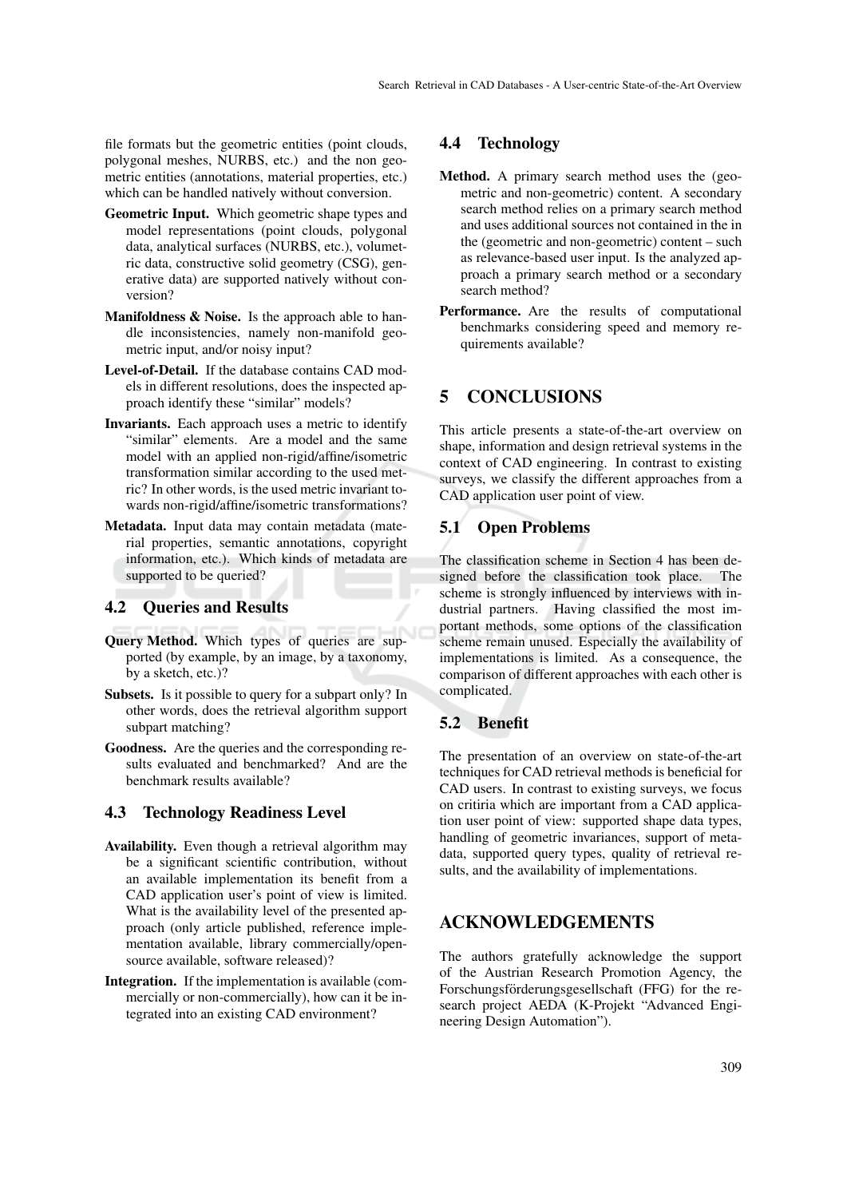file formats but the geometric entities (point clouds, polygonal meshes, NURBS, etc.) and the non geometric entities (annotations, material properties, etc.) which can be handled natively without conversion.

- Geometric Input. Which geometric shape types and model representations (point clouds, polygonal data, analytical surfaces (NURBS, etc.), volumetric data, constructive solid geometry (CSG), generative data) are supported natively without conversion?
- **Manifoldness & Noise.** Is the approach able to handle inconsistencies, namely non-manifold geometric input, and/or noisy input?
- Level-of-Detail. If the database contains CAD models in different resolutions, does the inspected approach identify these "similar" models?
- Invariants. Each approach uses a metric to identify "similar" elements. Are a model and the same model with an applied non-rigid/affine/isometric transformation similar according to the used metric? In other words, is the used metric invariant towards non-rigid/affine/isometric transformations?
- Metadata. Input data may contain metadata (material properties, semantic annotations, copyright information, etc.). Which kinds of metadata are supported to be queried?

### 4.2 Queries and Results

- Query Method. Which types of queries are supported (by example, by an image, by a taxonomy, by a sketch, etc.)?
- Subsets. Is it possible to query for a subpart only? In other words, does the retrieval algorithm support subpart matching?
- Goodness. Are the queries and the corresponding results evaluated and benchmarked? And are the benchmark results available?

### 4.3 Technology Readiness Level

- Availability. Even though a retrieval algorithm may be a significant scientific contribution, without an available implementation its benefit from a CAD application user's point of view is limited. What is the availability level of the presented approach (only article published, reference implementation available, library commercially/opensource available, software released)?
- Integration. If the implementation is available (commercially or non-commercially), how can it be integrated into an existing CAD environment?

## 4.4 Technology

- Method. A primary search method uses the (geometric and non-geometric) content. A secondary search method relies on a primary search method and uses additional sources not contained in the in the (geometric and non-geometric) content – such as relevance-based user input. Is the analyzed approach a primary search method or a secondary search method?
- Performance. Are the results of computational benchmarks considering speed and memory requirements available?

## 5 CONCLUSIONS

This article presents a state-of-the-art overview on shape, information and design retrieval systems in the context of CAD engineering. In contrast to existing surveys, we classify the different approaches from a CAD application user point of view.

### 5.1 Open Problems

The classification scheme in Section 4 has been designed before the classification took place. The scheme is strongly influenced by interviews with industrial partners. Having classified the most important methods, some options of the classification scheme remain unused. Especially the availability of implementations is limited. As a consequence, the comparison of different approaches with each other is complicated.

### 5.2 Benefit

The presentation of an overview on state-of-the-art techniques for CAD retrieval methods is beneficial for CAD users. In contrast to existing surveys, we focus on critiria which are important from a CAD application user point of view: supported shape data types, handling of geometric invariances, support of metadata, supported query types, quality of retrieval results, and the availability of implementations.

## ACKNOWLEDGEMENTS

The authors gratefully acknowledge the support of the Austrian Research Promotion Agency, the Forschungsförderungsgesellschaft (FFG) for the research project AEDA (K-Projekt "Advanced Engineering Design Automation").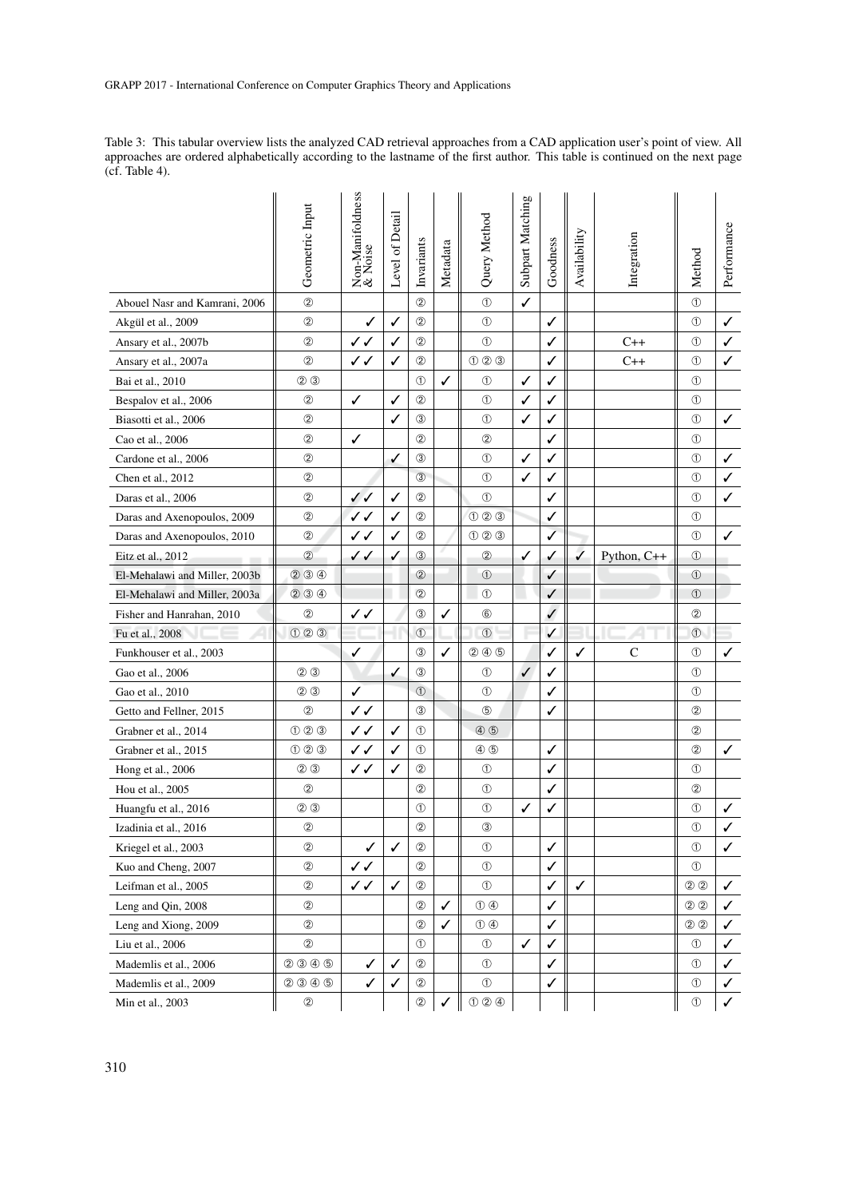Table 3: This tabular overview lists the analyzed CAD retrieval approaches from a CAD application user's point of view. All approaches are ordered alphabetically according to the lastname of the first author. This table is continued on the next page (cf. Table 4).

|                               | Geometric Input         | Non-Manifoldness<br>& Noise | Level of Detail | Invariants     | Metadata | Query Method                | Subpart Matching | Goodness     | Availability | Integration  | Method         | Performance  |
|-------------------------------|-------------------------|-----------------------------|-----------------|----------------|----------|-----------------------------|------------------|--------------|--------------|--------------|----------------|--------------|
| Abouel Nasr and Kamrani, 2006 | $^{\circledR}$          |                             |                 | (2)            |          | $\circled{1}$               | ✓                |              |              |              | $\circled{1}$  |              |
| Akgül et al., 2009            | ②                       | ✓                           | ✓               | 2              |          | $^{\circ}$                  |                  | ✓            |              |              | $\circled{1}$  | ✓            |
| Ansary et al., 2007b          | ②                       | ✓✓                          | ✓               | $^{\circledR}$ |          | $\circled{1}$               |                  | ✓            |              | $C++$        | $\circledD$    | ✓            |
| Ansary et al., 2007a          | 2                       | $\checkmark$                | ✓               | 2              |          | 000                         |                  | ✓            |              | $C++$        | $\circledD$    | ✓            |
| Bai et al., 2010              | ② ③                     |                             |                 | $^{\circledR}$ | ✓        | $^\circledR$                | ✓                | ✓            |              |              | $^{\circledR}$ |              |
| Bespalov et al., 2006         | 2                       | ✓                           | ✓               | 2              |          | $^{\circ}$                  | ✓                | ✓            |              |              | ➀              |              |
| Biasotti et al., 2006         | ②                       |                             | ✓               | $\circled{3}$  |          | $\circledD$                 | ✓                | ✓            |              |              | $\circled{1}$  | ✓            |
| Cao et al., 2006              | 2                       | ✓                           |                 | (2)            |          | $^{\circledR}$              |                  | ✓            |              |              | $\circledD$    |              |
| Cardone et al., 2006          | ②                       |                             | ✓               | 3              |          | $^{\circ}$                  | ✓                | ✓            |              |              | $^{\circledR}$ | ✓            |
| Chen et al., 2012             | $^{\circledR}$          |                             |                 | (3)            |          | $^{\circ}$                  | ✓                | ✓            |              |              | $\circledD$    | ✓            |
| Daras et al., 2006            | $^{\circledR}$          | $\checkmark$                | ✓               | $^{\circ}$     |          | $\circled{1}$               |                  | $\checkmark$ |              |              | $\circledD$    | ✓            |
| Daras and Axenopoulos, 2009   | ②                       | ✓✓                          | ✓               | $^{\circledR}$ |          | $O$ $O$ $O$                 |                  | ✓            |              |              | $^{\circledR}$ |              |
| Daras and Axenopoulos, 2010   | ②                       | ✓✓                          | ✓               | $^{\circledR}$ |          | 000                         |                  | ✓            |              |              | ➀              | ✓            |
| Eitz et al., 2012             | $^{\circledR}$          | ✓✓                          | ✓               | $\circled{3}$  |          | $^{\circledR}$              | $\checkmark$     | ✓            | $\checkmark$ | Python, C++  | $\circled{1}$  |              |
| El-Mehalawi and Miller, 2003b | 234                     |                             |                 | $^{\circledR}$ |          | $^{\circ}$                  |                  | ✓            |              |              | $^{\circ}$     |              |
| El-Mehalawi and Miller, 2003a | $(2)$ $(3)$ $(4)$       |                             |                 | $^{\circledR}$ |          | $^{\circ}$                  |                  | ✓            |              |              | (1)            |              |
| Fisher and Hanrahan, 2010     | $^{\circ}$              | ✓✓                          |                 | $\circled{3}$  | ✓        | $^{\circ}$                  |                  | $\checkmark$ |              |              | ②              |              |
| Fu et al., 2008               | $O$ $O$ $O$             |                             |                 | $\odot$        |          | $\odot$                     |                  | $\checkmark$ |              |              | $\odot$        |              |
| Funkhouser et al., 2003       |                         | ✓                           |                 | 3              | ✓        | $(2)$ $(4)$ $(5)$           |                  | ✓            | ✓            | $\mathsf{C}$ | $\circled{1}$  | ✓            |
| Gao et al., 2006              | $(2)$ $(3)$             |                             | ✓               | $\circled{3}$  |          | $^{\circ}$                  | ✓                | ✓            |              |              | ➀              |              |
| Gao et al., 2010              | $\circledcirc$          | ✓                           |                 | (1)            |          | $^{\circledR}$              |                  | ✓            |              |              | $\circledD$    |              |
| Getto and Fellner, 2015       | $^{\circledR}$          | $\checkmark$                |                 | 3              |          | $\circledS$                 |                  | ✓            |              |              | ②              |              |
| Grabner et al., 2014          | $\odot$ $\odot$ $\odot$ | ✓✓                          | ✓               | $^{\circ}$     |          | $\circled{4}$ $\circled{5}$ |                  |              |              |              | ②              |              |
| Grabner et al., 2015          | O(2)                    | $\checkmark$                | ✓               | $^{\circ}$     |          | $\circledA$ $\circledB$     |                  | ✓            |              |              | $^{\circledR}$ | ✓            |
| Hong et al., 2006             | $\circledcirc$          | ✓✓                          | ✓               | $^{\circ}$     |          | $^{\circ}$                  |                  | ✓            |              |              | $\circledD$    |              |
| Hou et al., 2005              | $^{\circledR}$          |                             |                 | $^{\circledR}$ |          | $^{\circ}$                  |                  | ✓            |              |              | $\circled{2}$  |              |
| Huangfu et al., 2016          | $\circledcirc$          |                             |                 | ➀              |          | $\circled{1}$               | ✓                | ✓            |              |              | $^{\circledR}$ | ✓            |
| Izadinia et al., 2016         | $^{\copyright}$         |                             |                 | $^{\circledR}$ |          | $^\circledR$                |                  |              |              |              | $\circled{1}$  |              |
| Kriegel et al., 2003          | ②                       | ✓                           | ✓               | $^{\circledR}$ |          | $^{\circ}$                  |                  | $\checkmark$ |              |              | $\circledD$    | $\checkmark$ |
| Kuo and Cheng, 2007           | ②                       | ✓✓                          |                 | $^{\circledR}$ |          | $^{\circ}$                  |                  | ✓            |              |              | $^{\circ}$     |              |
| Leifman et al., 2005          | $^{\circledR}$          | ✓✓                          | ✓               | $^{\circledR}$ |          | $\circled{1}$               |                  | ✓            | ✓            |              | $\circledcirc$ | ✓            |
| Leng and Qin, 2008            | ②                       |                             |                 | $^{\circledR}$ | ✓        | $\circled{0}$               |                  | ✓            |              |              | ② ②            | ✓            |
| Leng and Xiong, 2009          | $^\copyright$           |                             |                 | $^{\circ}$     | ✓        | $\circled{0}$               |                  | $\checkmark$ |              |              | $\circledcirc$ | $\checkmark$ |
| Liu et al., 2006              | $^{\circledR}$          |                             |                 | $^{\circledR}$ |          | $\circled{1}$               | ✓                | ✓            |              |              | ➀              | ✓            |
| Mademlis et al., 2006         | $(2)$ $(3)$ $(4)$ $(5)$ | ✓                           | ✓               | $^{\circledR}$ |          | $\circled{1}$               |                  | ✓            |              |              | ➀              | ✓            |
| Mademlis et al., 2009         | $(2)$ $(3)$ $(4)$ $(5)$ | ✓                           | ✓               | $^{\circledR}$ |          | $^{\circ}$                  |                  | ✓            |              |              | ➀              | $\checkmark$ |
| Min et al., 2003              | $^\copyright$           |                             |                 | $^\copyright$  | ✓        | $\circledR$ $\circledR$     |                  |              |              |              | $^{\circ}$     | $\checkmark$ |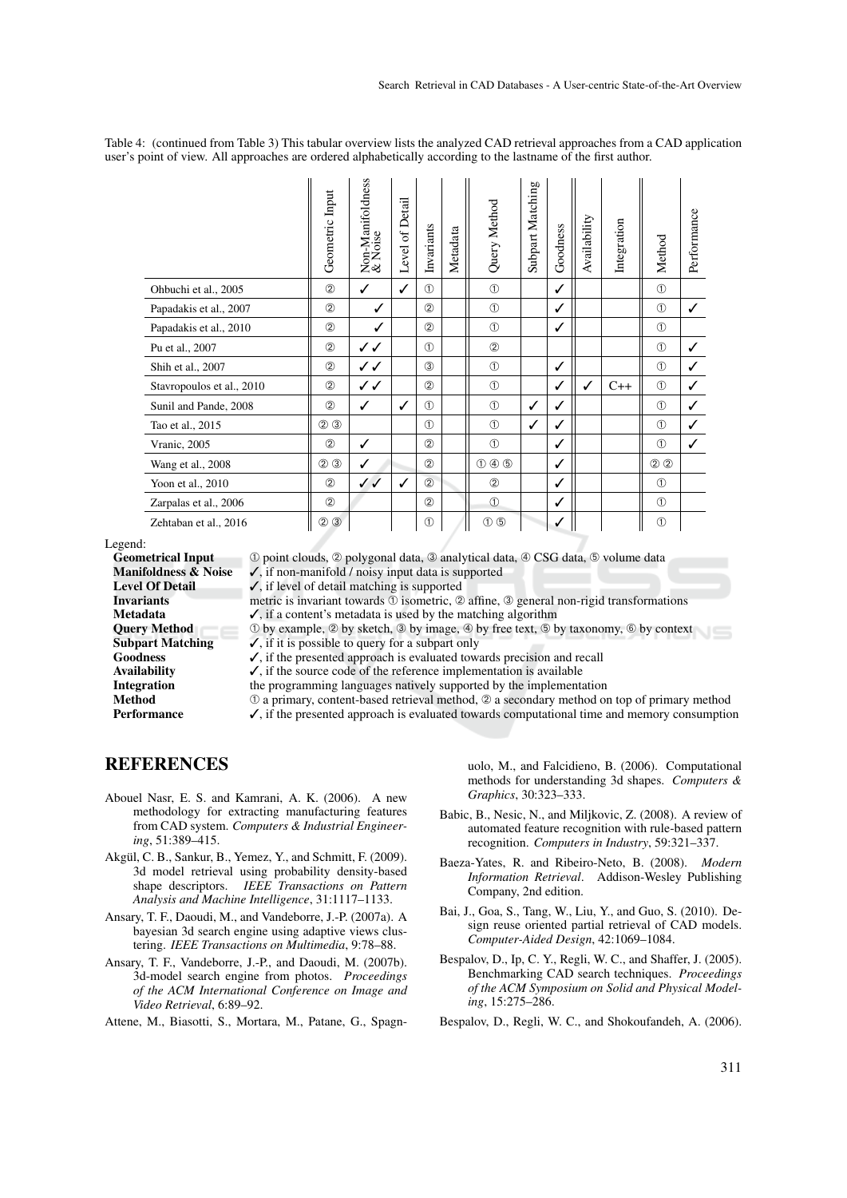Table 4: (continued from Table 3) This tabular overview lists the analyzed CAD retrieval approaches from a CAD application user's point of view. All approaches are ordered alphabetically according to the lastname of the first author.

|                           | Geometric Input               | Non-Manifoldness<br>& Noise | Level of Detail | Invariants    | Metadata | Query Method                              | Subpart Matching | Goodness | Availability | Integration | Method        | Performance  |
|---------------------------|-------------------------------|-----------------------------|-----------------|---------------|----------|-------------------------------------------|------------------|----------|--------------|-------------|---------------|--------------|
| Ohbuchi et al., 2005      | $^{\circledR}$                | $\checkmark$                | ✓               | (1)           |          | $\circled{1}$                             |                  | ✓        |              |             | $\circled{1}$ |              |
| Papadakis et al., 2007    | (2)                           | ✓                           |                 | (2)           |          | $\circled{1}$                             |                  | ✓        |              |             | $\circled{1}$ | ✓            |
| Papadakis et al., 2010    | (2)                           | ✓                           |                 | (2)           |          | $\circled{1}$                             |                  | ✓        |              |             | $\circled{1}$ |              |
| Pu et al., 2007           | $^{\circledR}$                | ノノ                          |                 | (1)           |          | (2)                                       |                  |          |              |             | $\circled{1}$ | ✓            |
| Shih et al., 2007         | $^{\circledR}$                | ノノ                          |                 | (3)           |          | $\circled{1}$                             |                  | ✓        |              |             | $\circled{1}$ | ✓            |
| Stavropoulos et al., 2010 | (2)                           | ノノ                          |                 | (2)           |          | $\circled{1}$                             |                  | ✓        | ✓            | $C++$       | $\circled{1}$ | ✓            |
| Sunil and Pande, 2008     | (2)                           | ✓                           | ✓               | (1)           |          | $\circled{1}$                             | ✓                | ✓        |              |             | $\circled{1}$ | ✓            |
| Tao et al., 2015          | $(2)$ $(3)$                   |                             |                 | (1)           |          | $\circled{1}$                             | ✓                | ✓        |              |             | $\circled{1}$ | $\checkmark$ |
| Vranic, 2005              | $^{\circledR}$                | ✓                           |                 | (2)           |          | $\circled{1}$                             |                  | ✓        |              |             | $\circled{1}$ | ✓            |
| Wang et al., 2008         | $\circledcirc$ $\circledcirc$ | ✓                           |                 | (2)           |          | $\circled{1}$ $\circled{4}$ $\circled{5}$ |                  | ✓        |              |             | $\circled{2}$ |              |
| Yoon et al., 2010         | (2)                           | ✓✓                          | ✓               | (2)           |          | $^{\circledR}$                            |                  | ✓        |              |             | $\circled{1}$ |              |
| Zarpalas et al., 2006     | (2)                           |                             |                 | (2)           |          | $\circled{1}$                             |                  | ✓        |              |             | $\circled{1}$ |              |
| Zehtaban et al., 2016     | $\circled{3}$<br>②            |                             |                 | $\circled{f}$ |          | $\circled{0}$                             |                  | ✓        |              |             | $\circled{1}$ |              |

Legend:

**Geometrical Input**  $\Phi$  point clouds,  $\Phi$  polygonal data,  $\Phi$  analytical data,  $\Phi$  CSG data,  $\Phi$  volume data **Manifoldness & Noise**  $\blacktriangle$  if non-manifold *l* noisy input data is supported

**Manifoldness & Noise**  $\checkmark$ , if non-manifold / noisy input data is supported **Level Of Detail**  $\checkmark$ , if level of detail matching is supported

**Level Of Detail**  $\checkmark$ **, if level of detail matching is supported Invariants** Invariants metric is invariant towards  $\overline{O}$  isometric,  $\overline{O}$  affine,  $\overline{O}$  general non-rigid transformations **Metadata**  $\overline{O}$ , if a content's metadata is used by the matching algorithm

**Metadata**  $\checkmark$ , if a content's metadata is used by the matching algorithm **Query Method**  $\hat{\theta}$  by example,  $\hat{\theta}$  by sketch,  $\hat{\theta}$  by image,  $\hat{\theta}$  by free text,  $\hat{\theta}$  to Query Method  $\bigcirc$  by example,  $\emptyset$  by sketch,  $\emptyset$  by image,  $\emptyset$  by free text,  $\emptyset$  by taxonomy,  $\emptyset$  by context Subpart Matching  $\checkmark$ , if it is possible to query for a subpart only

 $\checkmark$ , if it is possible to query for a subpart only

Goodness  $\checkmark$ , if the presented approach is evaluated towards precision and recall Availability  $\checkmark$ . if the source code of the reference implementation is available

 $\checkmark$ , if the source code of the reference implementation is available

Integration the programming languages natively supported by the implementation<br>Method  $\qquad \qquad \odot$  a primary, content-based retrieval method.  $\oslash$  a secondary method or

**Method** ① a primary, content-based retrieval method, ② a secondary method on top of primary method **Performance**  $\checkmark$ , if the presented approach is evaluated towards computational time and memory consumption  $\checkmark$ , if the presented approach is evaluated towards computational time and memory consumption

REFERENCES

- Abouel Nasr, E. S. and Kamrani, A. K. (2006). A new methodology for extracting manufacturing features from CAD system. *Computers & Industrial Engineering*, 51:389–415.
- Akgül, C. B., Sankur, B., Yemez, Y., and Schmitt, F. (2009). 3d model retrieval using probability density-based shape descriptors. *IEEE Transactions on Pattern Analysis and Machine Intelligence*, 31:1117–1133.
- Ansary, T. F., Daoudi, M., and Vandeborre, J.-P. (2007a). A bayesian 3d search engine using adaptive views clustering. *IEEE Transactions on Multimedia*, 9:78–88.
- Ansary, T. F., Vandeborre, J.-P., and Daoudi, M. (2007b). 3d-model search engine from photos. *Proceedings of the ACM International Conference on Image and Video Retrieval*, 6:89–92.

Attene, M., Biasotti, S., Mortara, M., Patane, G., Spagn-

uolo, M., and Falcidieno, B. (2006). Computational methods for understanding 3d shapes. *Computers & Graphics*, 30:323–333.

- Babic, B., Nesic, N., and Miljkovic, Z. (2008). A review of automated feature recognition with rule-based pattern recognition. *Computers in Industry*, 59:321–337.
- Baeza-Yates, R. and Ribeiro-Neto, B. (2008). *Modern Information Retrieval*. Addison-Wesley Publishing Company, 2nd edition.
- Bai, J., Goa, S., Tang, W., Liu, Y., and Guo, S. (2010). Design reuse oriented partial retrieval of CAD models. *Computer-Aided Design*, 42:1069–1084.
- Bespalov, D., Ip, C. Y., Regli, W. C., and Shaffer, J. (2005). Benchmarking CAD search techniques. *Proceedings of the ACM Symposium on Solid and Physical Modeling*, 15:275–286.
- Bespalov, D., Regli, W. C., and Shokoufandeh, A. (2006).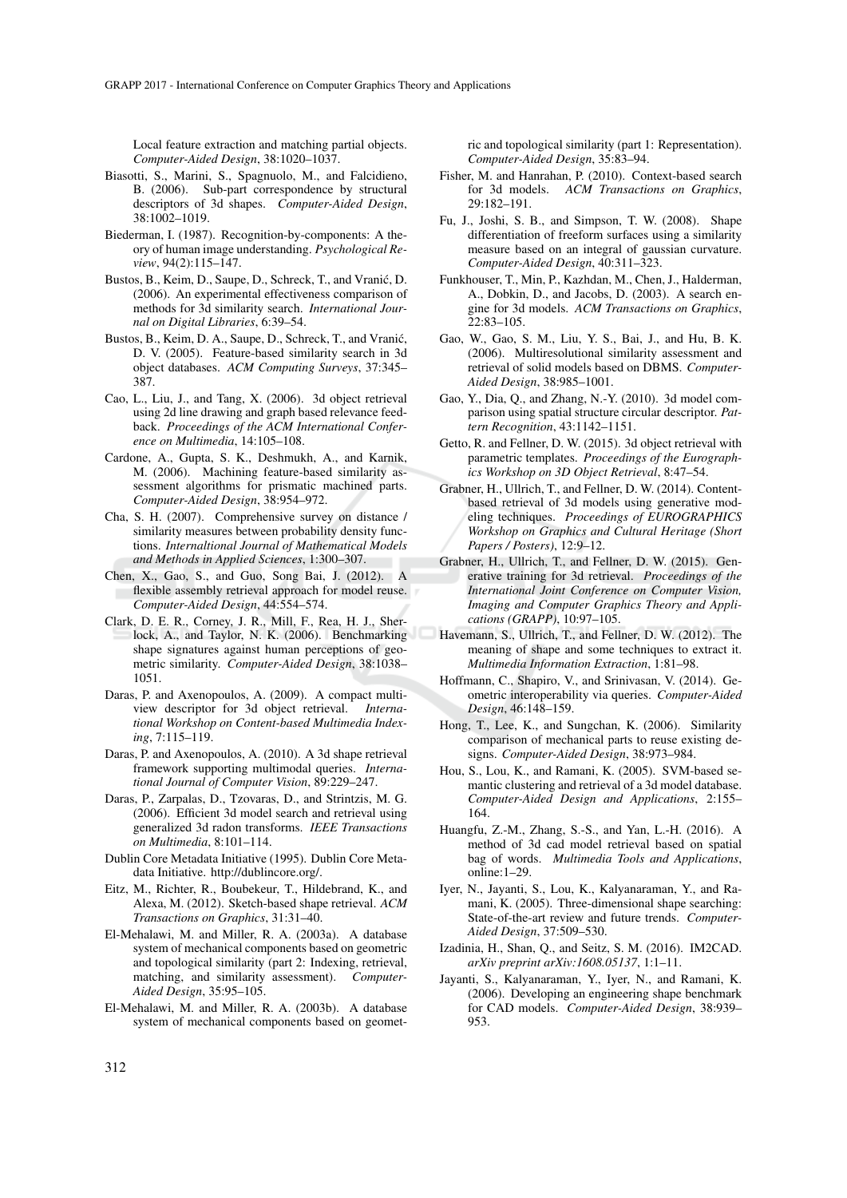Local feature extraction and matching partial objects. *Computer-Aided Design*, 38:1020–1037.

- Biasotti, S., Marini, S., Spagnuolo, M., and Falcidieno, B. (2006). Sub-part correspondence by structural descriptors of 3d shapes. *Computer-Aided Design*, 38:1002–1019.
- Biederman, I. (1987). Recognition-by-components: A theory of human image understanding. *Psychological Review*, 94(2):115–147.
- Bustos, B., Keim, D., Saupe, D., Schreck, T., and Vranic, D. ´ (2006). An experimental effectiveness comparison of methods for 3d similarity search. *International Journal on Digital Libraries*, 6:39–54.
- Bustos, B., Keim, D. A., Saupe, D., Schreck, T., and Vranić, D. V. (2005). Feature-based similarity search in 3d object databases. *ACM Computing Surveys*, 37:345– 387.
- Cao, L., Liu, J., and Tang, X. (2006). 3d object retrieval using 2d line drawing and graph based relevance feedback. *Proceedings of the ACM International Conference on Multimedia*, 14:105–108.
- Cardone, A., Gupta, S. K., Deshmukh, A., and Karnik, M. (2006). Machining feature-based similarity assessment algorithms for prismatic machined parts. *Computer-Aided Design*, 38:954–972.
- Cha, S. H. (2007). Comprehensive survey on distance / similarity measures between probability density functions. *Internaltional Journal of Mathematical Models and Methods in Applied Sciences*, 1:300–307.
- Chen, X., Gao, S., and Guo, Song Bai, J. (2012). A flexible assembly retrieval approach for model reuse. *Computer-Aided Design*, 44:554–574.
- Clark, D. E. R., Corney, J. R., Mill, F., Rea, H. J., Sherlock, A., and Taylor, N. K. (2006). Benchmarking shape signatures against human perceptions of geometric similarity. *Computer-Aided Design*, 38:1038– 1051.
- Daras, P. and Axenopoulos, A. (2009). A compact multiview descriptor for 3d object retrieval. *International Workshop on Content-based Multimedia Indexing*, 7:115–119.
- Daras, P. and Axenopoulos, A. (2010). A 3d shape retrieval framework supporting multimodal queries. *International Journal of Computer Vision*, 89:229–247.
- Daras, P., Zarpalas, D., Tzovaras, D., and Strintzis, M. G. (2006). Efficient 3d model search and retrieval using generalized 3d radon transforms. *IEEE Transactions on Multimedia*, 8:101–114.
- Dublin Core Metadata Initiative (1995). Dublin Core Metadata Initiative. http://dublincore.org/.
- Eitz, M., Richter, R., Boubekeur, T., Hildebrand, K., and Alexa, M. (2012). Sketch-based shape retrieval. *ACM Transactions on Graphics*, 31:31–40.
- El-Mehalawi, M. and Miller, R. A. (2003a). A database system of mechanical components based on geometric and topological similarity (part 2: Indexing, retrieval, matching, and similarity assessment). *Computer-Aided Design*, 35:95–105.
- El-Mehalawi, M. and Miller, R. A. (2003b). A database system of mechanical components based on geomet-

ric and topological similarity (part 1: Representation). *Computer-Aided Design*, 35:83–94.

- Fisher, M. and Hanrahan, P. (2010). Context-based search for 3d models. *ACM Transactions on Graphics*, 29:182–191.
- Fu, J., Joshi, S. B., and Simpson, T. W. (2008). Shape differentiation of freeform surfaces using a similarity measure based on an integral of gaussian curvature. *Computer-Aided Design*, 40:311–323.
- Funkhouser, T., Min, P., Kazhdan, M., Chen, J., Halderman, A., Dobkin, D., and Jacobs, D. (2003). A search engine for 3d models. *ACM Transactions on Graphics*, 22:83–105.
- Gao, W., Gao, S. M., Liu, Y. S., Bai, J., and Hu, B. K. (2006). Multiresolutional similarity assessment and retrieval of solid models based on DBMS. *Computer-Aided Design*, 38:985–1001.
- Gao, Y., Dia, Q., and Zhang, N.-Y. (2010). 3d model comparison using spatial structure circular descriptor. *Pattern Recognition*, 43:1142–1151.
- Getto, R. and Fellner, D. W. (2015). 3d object retrieval with parametric templates. *Proceedings of the Eurographics Workshop on 3D Object Retrieval*, 8:47–54.
- Grabner, H., Ullrich, T., and Fellner, D. W. (2014). Contentbased retrieval of 3d models using generative modeling techniques. *Proceedings of EUROGRAPHICS Workshop on Graphics and Cultural Heritage (Short Papers / Posters)*, 12:9–12.
- Grabner, H., Ullrich, T., and Fellner, D. W. (2015). Generative training for 3d retrieval. *Proceedings of the International Joint Conference on Computer Vision, Imaging and Computer Graphics Theory and Applications (GRAPP)*, 10:97–105.
- Havemann, S., Ullrich, T., and Fellner, D. W. (2012). The meaning of shape and some techniques to extract it. *Multimedia Information Extraction*, 1:81–98.
- Hoffmann, C., Shapiro, V., and Srinivasan, V. (2014). Geometric interoperability via queries. *Computer-Aided Design*, 46:148–159.
- Hong, T., Lee, K., and Sungchan, K. (2006). Similarity comparison of mechanical parts to reuse existing designs. *Computer-Aided Design*, 38:973–984.
- Hou, S., Lou, K., and Ramani, K. (2005). SVM-based semantic clustering and retrieval of a 3d model database. *Computer-Aided Design and Applications*, 2:155– 164.
- Huangfu, Z.-M., Zhang, S.-S., and Yan, L.-H. (2016). A method of 3d cad model retrieval based on spatial bag of words. *Multimedia Tools and Applications*, online:1–29.
- Iyer, N., Jayanti, S., Lou, K., Kalyanaraman, Y., and Ramani, K. (2005). Three-dimensional shape searching: State-of-the-art review and future trends. *Computer-Aided Design*, 37:509–530.
- Izadinia, H., Shan, Q., and Seitz, S. M. (2016). IM2CAD. *arXiv preprint arXiv:1608.05137*, 1:1–11.
- Jayanti, S., Kalyanaraman, Y., Iyer, N., and Ramani, K. (2006). Developing an engineering shape benchmark for CAD models. *Computer-Aided Design*, 38:939– 953.